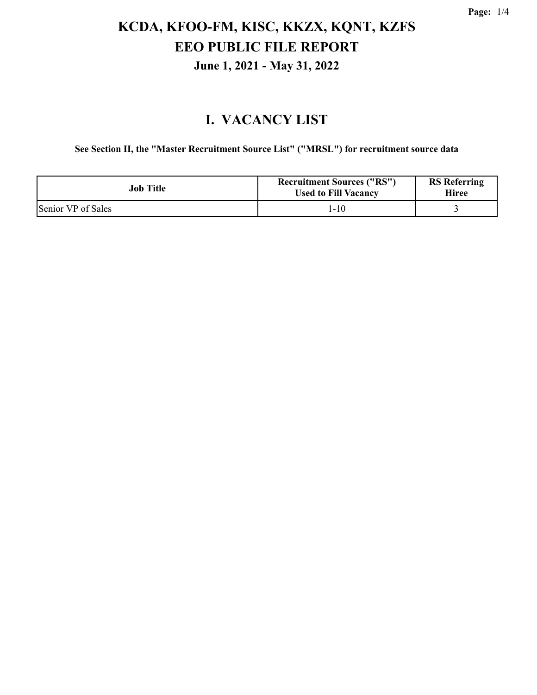#### **I. VACANCY LIST**

**See Section II, the "Master Recruitment Source List" ("MRSL") for recruitment source data**

| Job Title          | <b>Recruitment Sources ("RS")</b><br><b>Used to Fill Vacancy</b> | <b>RS</b> Referring<br>Hiree |
|--------------------|------------------------------------------------------------------|------------------------------|
| Senior VP of Sales | 1-10                                                             |                              |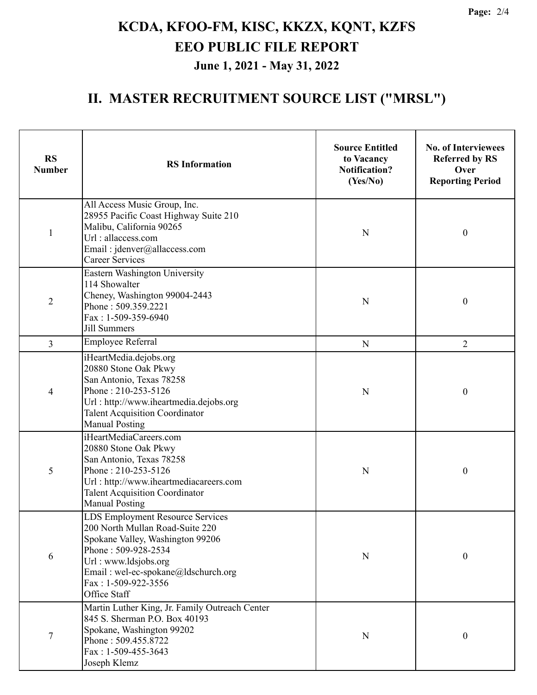#### **II. MASTER RECRUITMENT SOURCE LIST ("MRSL")**

| <b>RS</b><br><b>Number</b> | <b>RS</b> Information                                                                                                                                                                                                                | <b>Source Entitled</b><br>to Vacancy<br><b>Notification?</b><br>(Yes/No) | <b>No. of Interviewees</b><br><b>Referred by RS</b><br>Over<br><b>Reporting Period</b> |
|----------------------------|--------------------------------------------------------------------------------------------------------------------------------------------------------------------------------------------------------------------------------------|--------------------------------------------------------------------------|----------------------------------------------------------------------------------------|
| $\mathbf{1}$               | All Access Music Group, Inc.<br>28955 Pacific Coast Highway Suite 210<br>Malibu, California 90265<br>Url: allaccess.com<br>Email: jdenver@allaccess.com<br><b>Career Services</b>                                                    | N                                                                        | $\boldsymbol{0}$                                                                       |
| $\overline{2}$             | Eastern Washington University<br>114 Showalter<br>Cheney, Washington 99004-2443<br>Phone: 509.359.2221<br>Fax: 1-509-359-6940<br>Jill Summers                                                                                        | N                                                                        | $\boldsymbol{0}$                                                                       |
| $\overline{3}$             | Employee Referral                                                                                                                                                                                                                    | N                                                                        | $\overline{2}$                                                                         |
| 4                          | iHeartMedia.dejobs.org<br>20880 Stone Oak Pkwy<br>San Antonio, Texas 78258<br>Phone: 210-253-5126<br>Url: http://www.iheartmedia.dejobs.org<br><b>Talent Acquisition Coordinator</b><br><b>Manual Posting</b>                        | N                                                                        | $\boldsymbol{0}$                                                                       |
| 5                          | iHeartMediaCareers.com<br>20880 Stone Oak Pkwy<br>San Antonio, Texas 78258<br>Phone: 210-253-5126<br>Url: http://www.iheartmediacareers.com<br><b>Talent Acquisition Coordinator</b><br><b>Manual Posting</b>                        | N                                                                        | $\boldsymbol{0}$                                                                       |
| 6                          | LDS Employment Resource Services<br>200 North Mullan Road-Suite 220<br>Spokane Valley, Washington 99206<br>Phone: 509-928-2534<br>Url: www.ldsjobs.org<br>Email: wel-ec-spokane@ldschurch.org<br>Fax: 1-509-922-3556<br>Office Staff | N                                                                        | $\boldsymbol{0}$                                                                       |
| 7                          | Martin Luther King, Jr. Family Outreach Center<br>845 S. Sherman P.O. Box 40193<br>Spokane, Washington 99202<br>Phone: 509.455.8722<br>Fax: 1-509-455-3643<br>Joseph Klemz                                                           | N                                                                        | $\boldsymbol{0}$                                                                       |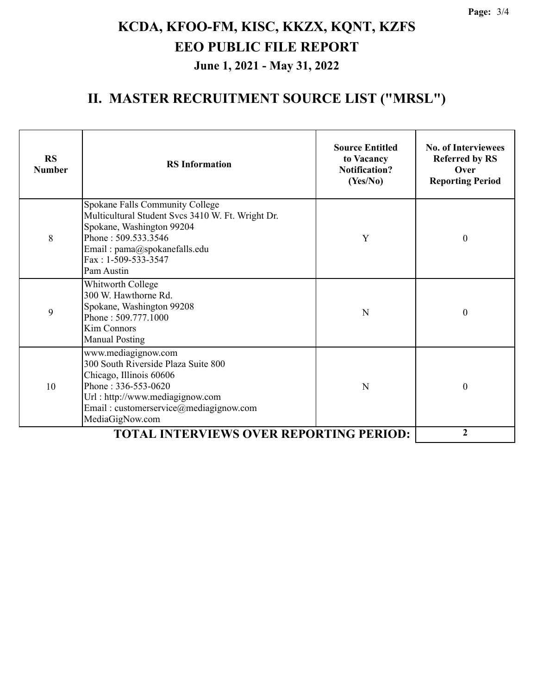#### **II. MASTER RECRUITMENT SOURCE LIST ("MRSL")**

| <b>RS</b><br><b>Number</b> | <b>RS</b> Information                                                                                                                                                                                              | <b>Source Entitled</b><br>to Vacancy<br><b>Notification?</b><br>(Yes/No) | <b>No. of Interviewees</b><br><b>Referred by RS</b><br>Over<br><b>Reporting Period</b> |
|----------------------------|--------------------------------------------------------------------------------------------------------------------------------------------------------------------------------------------------------------------|--------------------------------------------------------------------------|----------------------------------------------------------------------------------------|
| 8                          | Spokane Falls Community College<br>Multicultural Student Svcs 3410 W. Ft. Wright Dr.<br>Spokane, Washington 99204<br>Phone: 509.533.3546<br>Email: pama@spokanefalls.edu<br>Fax: 1-509-533-3547<br>Pam Austin      | Y                                                                        | $\boldsymbol{0}$                                                                       |
| 9                          | Whitworth College<br>300 W. Hawthorne Rd.<br>Spokane, Washington 99208<br>Phone: 509.777.1000<br><b>Kim Connors</b><br><b>Manual Posting</b>                                                                       | N                                                                        | $\boldsymbol{0}$                                                                       |
| 10                         | www.mediagignow.com<br>300 South Riverside Plaza Suite 800<br>Chicago, Illinois 60606<br>Phone: $336 - 553 - 0620$<br>Url: http://www.mediagignow.com<br>Email: customerservice@mediagignow.com<br>MediaGigNow.com | N                                                                        | $\mathbf{0}$                                                                           |
|                            | $\overline{2}$                                                                                                                                                                                                     |                                                                          |                                                                                        |